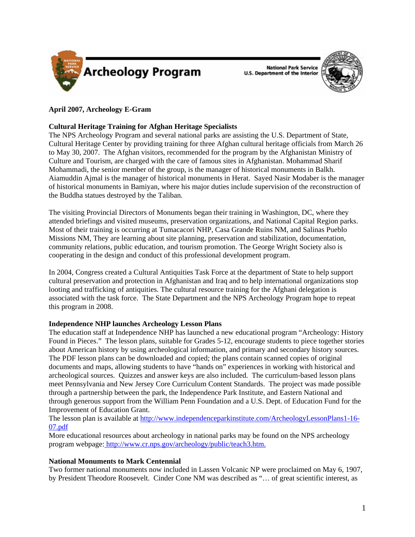

**National Park Service U.S. Department of the Interior** 



# **April 2007, Archeology E-Gram**

# **Cultural Heritage Training for Afghan Heritage Specialists**

The NPS Archeology Program and several national parks are assisting the U.S. Department of State, Cultural Heritage Center by providing training for three Afghan cultural heritage officials from March 26 to May 30, 2007. The Afghan visitors, recommended for the program by the Afghanistan Ministry of Culture and Tourism, are charged with the care of famous sites in Afghanistan. Mohammad Sharif Mohammadi, the senior member of the group, is the manager of historical monuments in Balkh. Aiamuddin Ajmal is the manager of historical monuments in Herat. Sayed Nasir Modaber is the manager of historical monuments in Bamiyan, where his major duties include supervision of the reconstruction of the Buddha statues destroyed by the Taliban.

The visiting Provincial Directors of Monuments began their training in Washington, DC, where they attended briefings and visited museums, preservation organizations, and National Capital Region parks. Most of their training is occurring at Tumacacori NHP, Casa Grande Ruins NM, and Salinas Pueblo Missions NM, They are learning about site planning, preservation and stabilization, documentation, community relations, public education, and tourism promotion. The George Wright Society also is cooperating in the design and conduct of this professional development program.

In 2004, Congress created a Cultural Antiquities Task Force at the department of State to help support cultural preservation and protection in Afghanistan and Iraq and to help international organizations stop looting and trafficking of antiquities. The cultural resource training for the Afghani delegation is associated with the task force. The State Department and the NPS Archeology Program hope to repeat this program in 2008.

## **Independence NHP launches Archeology Lesson Plans**

The education staff at Independence NHP has launched a new educational program "Archeology: History Found in Pieces." The lesson plans, suitable for Grades 5-12, encourage students to piece together stories about American history by using archeological information, and primary and secondary history sources. The PDF lesson plans can be downloaded and copied; the plans contain scanned copies of original documents and maps, allowing students to have "hands on" experiences in working with historical and archeological sources. Quizzes and answer keys are also included. The curriculum-based lesson plans meet Pennsylvania and New Jersey Core Curriculum Content Standards. The project was made possible through a partnership between the park, the Independence Park Institute, and Eastern National and through generous support from the William Penn Foundation and a U.S. Dept. of Education Fund for the Improvement of Education Grant.

[The lesson plan is available at http://www.independenceparkinstitute.com/ArcheologyLessonPlans1-16-](http://www.independenceparkinstitute.com/ArcheologyLessonPlans1-16-07.pdf) 07.pdf

More educational resources about archeology in national parks may be found on the NPS archeology program webpage: [http://www.cr.nps.gov/archeology/public/teach3.htm.](http://www.cr.nps.gov/archeology/public/teach3.htm)

# **National Monuments to Mark Centennial**

Two former national monuments now included in Lassen Volcanic NP were proclaimed on May 6, 1907, by President Theodore Roosevelt. Cinder Cone NM was described as "… of great scientific interest, as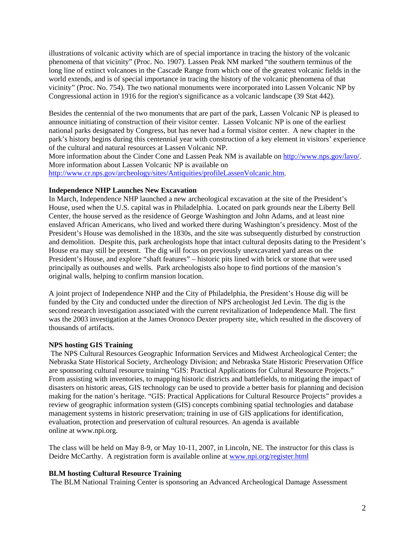illustrations of volcanic activity which are of special importance in tracing the history of the volcanic phenomena of that vicinity" (Proc. No. 1907). Lassen Peak NM marked "the southern terminus of the long line of extinct volcanoes in the Cascade Range from which one of the greatest volcanic fields in the world extends, and is of special importance in tracing the history of the volcanic phenomena of that vicinity" (Proc. No. 754). The two national monuments were incorporated into Lassen Volcanic NP by Congressional action in 1916 for the region's significance as a volcanic landscape (39 Stat 442).

Besides the centennial of the two monuments that are part of the park, Lassen Volcanic NP is pleased to announce initiating of construction of their visitor center. Lassen Volcanic NP is one of the earliest national parks designated by Congress, but has never had a formal visitor center. A new chapter in the park's history begins during this centennial year with construction of a key element in visitors' experience of the cultural and natural resources at Lassen Volcanic NP.

More information about the Cinder Cone and Lassen Peak NM is available on [http://www.nps.gov/lavo/.](http://www.nps.gov/lavo/) More information about Lassen Volcanic NP is available on

[http://www.cr.nps.gov/archeology/sites/Antiquities/profileLassenVolcanic.htm.](http://www.cr.nps.gov/archeology/sites/Antiquities/profileLassenVolcanic.htm)

# **Independence NHP Launches New Excavation**

In March, Independence NHP launched a new archeological excavation at the site of the President's House, used when the U.S. capital was in Philadelphia. Located on park grounds near the Liberty Bell Center, the house served as the residence of George Washington and John Adams, and at least nine enslaved African Americans, who lived and worked there during Washington's presidency. Most of the President's House was demolished in the 1830s, and the site was subsequently disturbed by construction and demolition. Despite this, park archeologists hope that intact cultural deposits dating to the President's House era may still be present. The dig will focus on previously unexcavated yard areas on the President's House, and explore "shaft features" – historic pits lined with brick or stone that were used principally as outhouses and wells. Park archeologists also hope to find portions of the mansion's original walls, helping to confirm mansion location.

A joint project of Independence NHP and the City of Philadelphia, the President's House dig will be funded by the City and conducted under the direction of NPS archeologist Jed Levin. The dig is the second research investigation associated with the current revitalization of Independence Mall. The first was the 2003 investigation at the James Oronoco Dexter property site, which resulted in the discovery of thousands of artifacts.

# **NPS hosting GIS Training**

 The NPS Cultural Resources Geographic Information Services and Midwest Archeological Center; the Nebraska State Historical Society, Archeology Division; and Nebraska State Historic Preservation Office are sponsoring cultural resource training "GIS: Practical Applications for Cultural Resource Projects." From assisting with inventories, to mapping historic districts and battlefields, to mitigating the impact of disasters on historic areas, GIS technology can be used to provide a better basis for planning and decision making for the nation's heritage. "GIS: Practical Applications for Cultural Resource Projects" provides a review of geographic information system (GIS) concepts combining spatial technologies and database management systems in historic preservation; training in use of GIS applications for identification, evaluation, protection and preservation of cultural resources. An agenda is available online at www.npi.org.

The class will be held on May 8-9, or May 10-11, 2007, in Lincoln, NE. The instructor for this class is Deidre McCarthy. A registration form is available online at <www.npi.org/register.html>

# **BLM hosting Cultural Resource Training**

The BLM National Training Center is sponsoring an Advanced Archeological Damage Assessment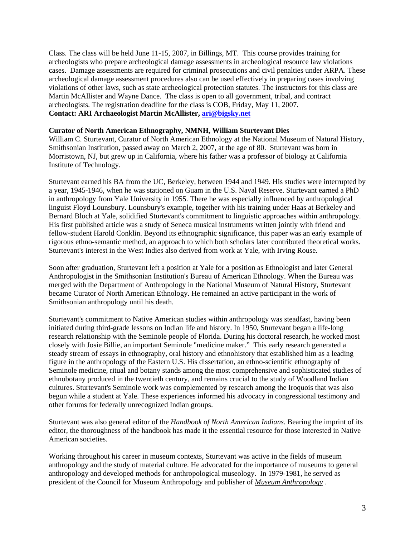Class. The class will be held June 11-15, 2007, in Billings, MT. This course provides training for archeologists who prepare archeological damage assessments in archeological resource law violations cases. Damage assessments are required for criminal prosecutions and civil penalties under ARPA. These archeological damage assessment procedures also can be used effectively in preparing cases involving violations of other laws, such as state archeological protection statutes. The instructors for this class are Martin McAllister and Wayne Dance. The class is open to all government, tribal, and contract archeologists. The registration deadline for the class is COB, Friday, May 11, 2007. **Contact: ARI Archaeologist Martin McAllister, ari@bigsky.net**

## **Curator of North American Ethnography, NMNH, William Sturtevant Dies**

William C. Sturtevant, Curator of North American Ethnology at the National Museum of Natural History, Smithsonian Institution, passed away on March 2, 2007, at the age of 80. Sturtevant was born in Morristown, NJ, but grew up in California, where his father was a professor of biology at California Institute of Technology.

Sturtevant earned his BA from the UC, Berkeley, between 1944 and 1949. His studies were interrupted by a year, 1945-1946, when he was stationed on Guam in the U.S. Naval Reserve. Sturtevant earned a PhD in anthropology from Yale University in 1955. There he was especially influenced by anthropological linguist Floyd Lounsbury. Lounsbury's example, together with his training under Haas at Berkeley and Bernard Bloch at Yale, solidified Sturtevant's commitment to linguistic approaches within anthropology. His first published article was a study of Seneca musical instruments written jointly with friend and fellow-student Harold Conklin. Beyond its ethnographic significance, this paper was an early example of rigorous ethno-semantic method, an approach to which both scholars later contributed theoretical works. Sturtevant's interest in the West Indies also derived from work at Yale, with Irving Rouse.

Soon after graduation, Sturtevant left a position at Yale for a position as Ethnologist and later General Anthropologist in the Smithsonian Institution's Bureau of American Ethnology. When the Bureau was merged with the Department of Anthropology in the National Museum of Natural History, Sturtevant became Curator of North American Ethnology. He remained an active participant in the work of Smithsonian anthropology until his death.

Sturtevant's commitment to Native American studies within anthropology was steadfast, having been initiated during third-grade lessons on Indian life and history. In 1950, Sturtevant began a life-long research relationship with the Seminole people of Florida. During his doctoral research, he worked most closely with Josie Billie, an important Seminole "medicine maker." This early research generated a steady stream of essays in ethnography, oral history and ethnohistory that established him as a leading figure in the anthropology of the Eastern U.S. His dissertation, an ethno-scientific ethnography of Seminole medicine, ritual and botany stands among the most comprehensive and sophisticated studies of ethnobotany produced in the twentieth century, and remains crucial to the study of Woodland Indian cultures. Sturtevant's Seminole work was complemented by research among the Iroquois that was also begun while a student at Yale. These experiences informed his advocacy in congressional testimony and other forums for federally unrecognized Indian groups.

Sturtevant was also general editor of the *Handbook of North American Indians*. Bearing the imprint of its editor, the thoroughness of the handbook has made it the essential resource for those interested in Native American societies.

Working throughout his career in museum contexts, Sturtevant was active in the fields of museum anthropology and the study of material culture. He advocated for the importance of museums to general anthropology and developed methods for anthropological museology. In 1979-1981, he served as president of the Council for Museum Anthropology and publisher of *Museum Anthropology* .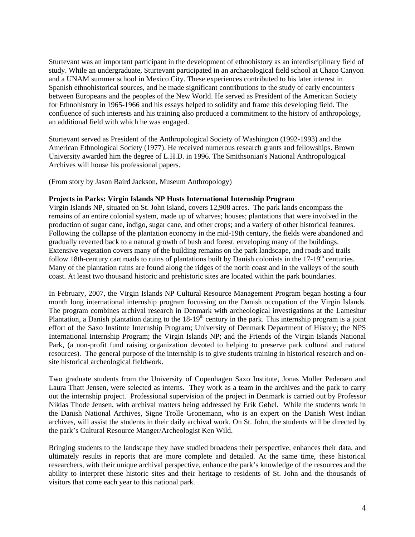Sturtevant was an important participant in the development of ethnohistory as an interdisciplinary field of study. While an undergraduate, Sturtevant participated in an archaeological field school at Chaco Canyon and a UNAM summer school in Mexico City. These experiences contributed to his later interest in Spanish ethnohistorical sources, and he made significant contributions to the study of early encounters between Europeans and the peoples of the New World. He served as President of the American Society for Ethnohistory in 1965-1966 and his essays helped to solidify and frame this developing field. The confluence of such interests and his training also produced a commitment to the history of anthropology, an additional field with which he was engaged.

Sturtevant served as President of the Anthropological Society of Washington (1992-1993) and the American Ethnological Society (1977). He received numerous research grants and fellowships. Brown University awarded him the degree of L.H.D. in 1996. The Smithsonian's National Anthropological Archives will house his professional papers.

(From story by Jason Baird Jackson, Museum Anthropology)

## **Projects in Parks: Virgin Islands NP Hosts International Internship Program**

Virgin Islands NP, situated on St. John Island, covers 12,908 acres. The park lands encompass the remains of an entire colonial system, made up of wharves; houses; plantations that were involved in the production of sugar cane, indigo, sugar cane, and other crops; and a variety of other historical features. Following the collapse of the plantation economy in the mid-19th century, the fields were abandoned and gradually reverted back to a natural growth of bush and forest, enveloping many of the buildings. Extensive vegetation covers many of the building remains on the park landscape, and roads and trails follow 18th-century cart roads to ruins of plantations built by Danish colonists in the  $17-19<sup>th</sup>$  centuries. Many of the plantation ruins are found along the ridges of the north coast and in the valleys of the south coast. At least two thousand historic and prehistoric sites are located within the park boundaries.

In February, 2007, the Virgin Islands NP Cultural Resource Management Program began hosting a four month long international internship program focussing on the Danish occupation of the Virgin Islands. The program combines archival research in Denmark with archeological investigations at the Lameshur Plantation, a Danish plantation dating to the  $18-19<sup>th</sup>$  century in the park. This internship program is a joint effort of the Saxo Institute Internship Program; University of Denmark Department of History; the NPS International Internship Program; the Virgin Islands NP; and the Friends of the Virgin Islands National Park, (a non-profit fund raising organization devoted to helping to preserve park cultural and natural resources). The general purpose of the internship is to give students training in historical research and onsite historical archeological fieldwork.

Two graduate students from the University of Copenhagen Saxo Institute, Jonas Moller Pedersen and Laura Thatt Jensen, were selected as interns. They work as a team in the archives and the park to carry out the internship project. Professional supervision of the project in Denmark is carried out by Professor Niklas Thode Jensen, with archival matters being addressed by Erik Gøbel. While the students work in the Danish National Archives, Signe Trolle Gronemann, who is an expert on the Danish West Indian archives, will assist the students in their daily archival work. On St. John, the students will be directed by the park's Cultural Resource Manger/Archeologist Ken Wild.

Bringing students to the landscape they have studied broadens their perspective, enhances their data, and ultimately results in reports that are more complete and detailed. At the same time, these historical researchers, with their unique archival perspective, enhance the park's knowledge of the resources and the ability to interpret these historic sites and their heritage to residents of St. John and the thousands of visitors that come each year to this national park.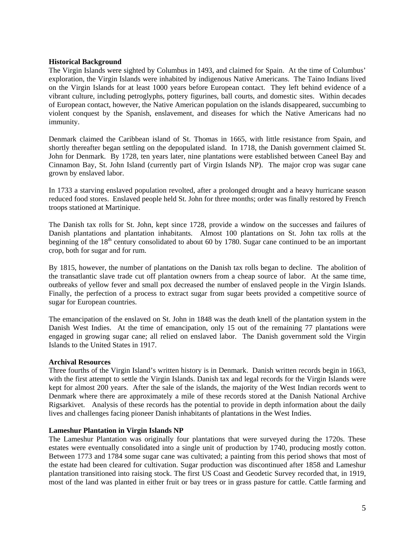## **Historical Background**

The Virgin Islands were sighted by Columbus in 1493, and claimed for Spain. At the time of Columbus' exploration, the Virgin Islands were inhabited by indigenous Native Americans. The Taino Indians lived on the Virgin Islands for at least 1000 years before European contact. They left behind evidence of a vibrant culture, including petroglyphs, pottery figurines, ball courts, and domestic sites. Within decades of European contact, however, the Native American population on the islands disappeared, succumbing to violent conquest by the Spanish, enslavement, and diseases for which the Native Americans had no immunity.

Denmark claimed the Caribbean island of St. Thomas in 1665, with little resistance from Spain, and shortly thereafter began settling on the depopulated island. In 1718, the Danish government claimed St. John for Denmark. By 1728, ten years later, nine plantations were established between Caneel Bay and Cinnamon Bay, St. John Island (currently part of Virgin Islands NP). The major crop was sugar cane grown by enslaved labor.

In 1733 a starving enslaved population revolted, after a prolonged drought and a heavy hurricane season reduced food stores. Enslaved people held St. John for three months; order was finally restored by French troops stationed at Martinique.

The Danish tax rolls for St. John, kept since 1728, provide a window on the successes and failures of Danish plantations and plantation inhabitants. Almost 100 plantations on St. John tax rolls at the beginning of the  $18<sup>th</sup>$  century consolidated to about 60 by 1780. Sugar cane continued to be an important crop, both for sugar and for rum.

By 1815, however, the number of plantations on the Danish tax rolls began to decline. The abolition of the transatlantic slave trade cut off plantation owners from a cheap source of labor. At the same time, outbreaks of yellow fever and small pox decreased the number of enslaved people in the Virgin Islands. Finally, the perfection of a process to extract sugar from sugar beets provided a competitive source of sugar for European countries.

The emancipation of the enslaved on St. John in 1848 was the death knell of the plantation system in the Danish West Indies. At the time of emancipation, only 15 out of the remaining 77 plantations were engaged in growing sugar cane; all relied on enslaved labor. The Danish government sold the Virgin Islands to the United States in 1917.

### **Archival Resources**

Three fourths of the Virgin Island's written history is in Denmark. Danish written records begin in 1663, with the first attempt to settle the Virgin Islands. Danish tax and legal records for the Virgin Islands were kept for almost 200 years. After the sale of the islands, the majority of the West Indian records went to Denmark where there are approximately a mile of these records stored at the Danish National Archive Rigsarkivet. Analysis of these records has the potential to provide in depth information about the daily lives and challenges facing pioneer Danish inhabitants of plantations in the West Indies.

### **Lameshur Plantation in Virgin Islands NP**

The Lameshur Plantation was originally four plantations that were surveyed during the 1720s. These estates were eventually consolidated into a single unit of production by 1740, producing mostly cotton. Between 1773 and 1784 some sugar cane was cultivated; a painting from this period shows that most of the estate had been cleared for cultivation. Sugar production was discontinued after 1858 and Lameshur plantation transitioned into raising stock. The first US Coast and Geodetic Survey recorded that, in 1919, most of the land was planted in either fruit or bay trees or in grass pasture for cattle. Cattle farming and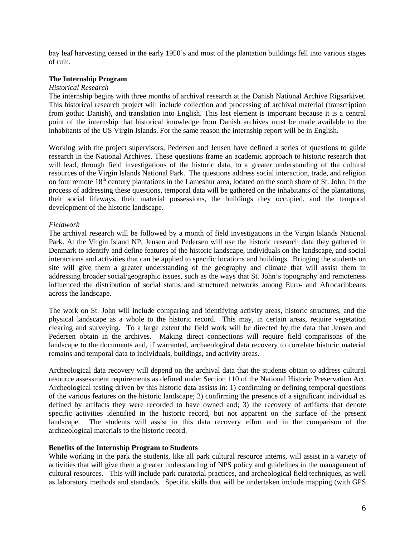bay leaf harvesting ceased in the early 1950's and most of the plantation buildings fell into various stages of ruin.

## **The Internship Program**

### *Historical Research*

The internship begins with three months of archival research at the Danish National Archive Rigsarkivet. This historical research project will include collection and processing of archival material (transcription from gothic Danish), and translation into English. This last element is important because it is a central point of the internship that historical knowledge from Danish archives must be made available to the inhabitants of the US Virgin Islands. For the same reason the internship report will be in English.

Working with the project supervisors, Pedersen and Jensen have defined a series of questions to guide research in the National Archives. These questions frame an academic approach to historic research that will lead, through field investigations of the historic data, to a greater understanding of the cultural resources of the Virgin Islands National Park. The questions address social interaction, trade, and religion on four remote 18<sup>th</sup> century plantations in the Lameshur area, located on the south shore of St. John. In the process of addressing these questions, temporal data will be gathered on the inhabitants of the plantations, their social lifeways, their material possessions, the buildings they occupied, and the temporal development of the historic landscape.

## *Fieldwork*

The archival research will be followed by a month of field investigations in the Virgin Islands National Park. At the Virgin Island NP, Jensen and Pedersen will use the historic research data they gathered in Denmark to identify and define features of the historic landscape, individuals on the landscape, and social interactions and activities that can be applied to specific locations and buildings. Bringing the students on site will give them a greater understanding of the geography and climate that will assist them in addressing broader social/geographic issues, such as the ways that St. John's topography and remoteness influenced the distribution of social status and structured networks among Euro- and Afrocaribbeans across the landscape.

The work on St. John will include comparing and identifying activity areas, historic structures, and the physical landscape as a whole to the historic record. This may, in certain areas, require vegetation clearing and surveying. To a large extent the field work will be directed by the data that Jensen and Pedersen obtain in the archives. Making direct connections will require field comparisons of the landscape to the documents and, if warranted, archaeological data recovery to correlate historic material remains and temporal data to individuals, buildings, and activity areas.

Archeological data recovery will depend on the archival data that the students obtain to address cultural resource assessment requirements as defined under Section 110 of the National Historic Preservation Act. Archeological testing driven by this historic data assists in: 1) confirming or defining temporal questions of the various features on the historic landscape; 2) confirming the presence of a significant individual as defined by artifacts they were recorded to have owned and; 3) the recovery of artifacts that denote specific activities identified in the historic record, but not apparent on the surface of the present landscape. The students will assist in this data recovery effort and in the comparison of the archaeological materials to the historic record.

### **Benefits of the Internship Program to Students**

While working in the park the students, like all park cultural resource interns, will assist in a variety of activities that will give them a greater understanding of NPS policy and guidelines in the management of cultural resources. This will include park curatorial practices, and archeological field techniques, as well as laboratory methods and standards. Specific skills that will be undertaken include mapping (with GPS